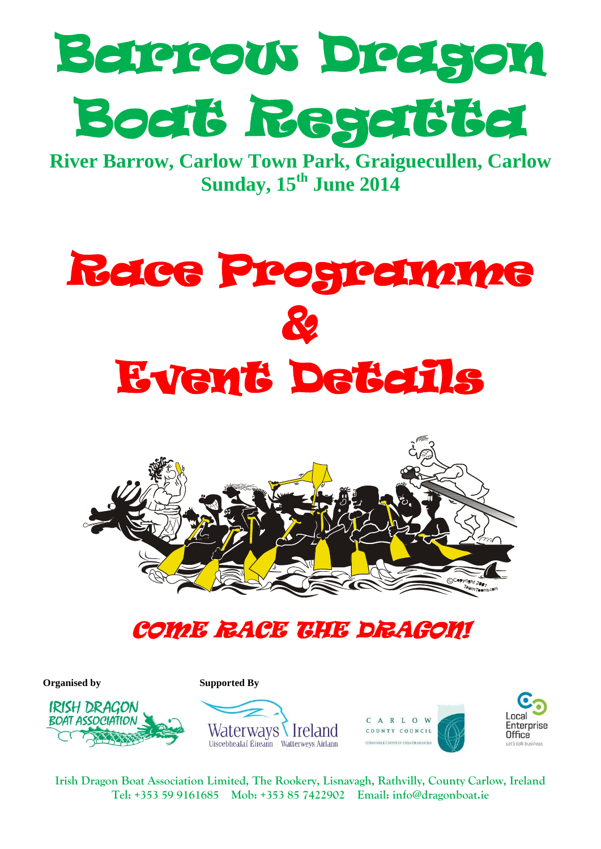

**River Barrow, Carlow Town Park, Graiguecullen, Carlow Sunday, 15th June 2014**





## COME RACE THE DRAGON!

**Organised by Supported By** 









**Irish Dragon Boat Association Limited, The Rookery, Lisnavagh, Rathvilly, County Carlow, Ireland Tel: +353 59 9161685 Mob: +353 85 7422902 Email: [info@dragonboat.ie](mailto:info@dragonboat.ie)**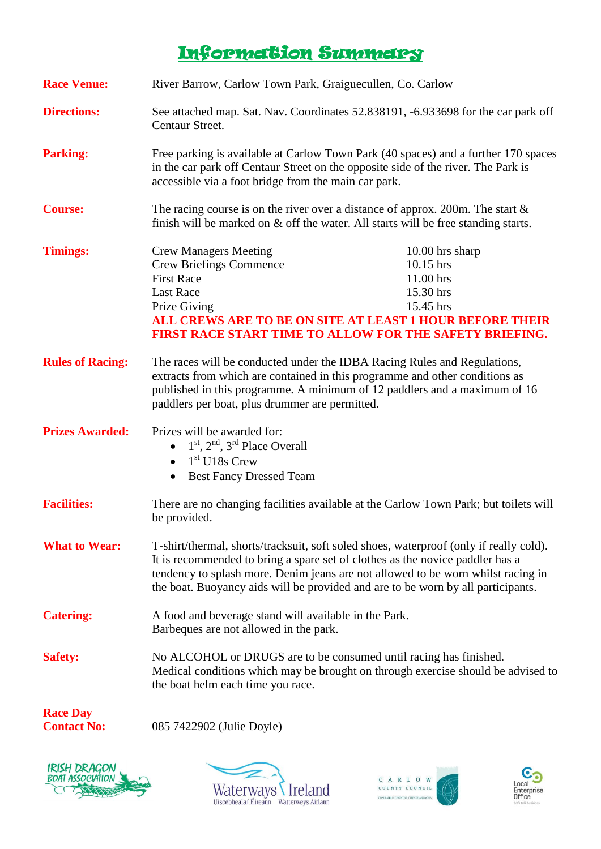### Information Summary

| <b>Race Venue:</b>                    | River Barrow, Carlow Town Park, Graiguecullen, Co. Carlow                                                                                                                                                                                                                                                                                       |                                                                                                                                                                                                     |  |
|---------------------------------------|-------------------------------------------------------------------------------------------------------------------------------------------------------------------------------------------------------------------------------------------------------------------------------------------------------------------------------------------------|-----------------------------------------------------------------------------------------------------------------------------------------------------------------------------------------------------|--|
| <b>Directions:</b>                    | See attached map. Sat. Nav. Coordinates 52.838191, -6.933698 for the car park off<br>Centaur Street.                                                                                                                                                                                                                                            |                                                                                                                                                                                                     |  |
| <b>Parking:</b>                       | Free parking is available at Carlow Town Park (40 spaces) and a further 170 spaces<br>in the car park off Centaur Street on the opposite side of the river. The Park is<br>accessible via a foot bridge from the main car park.                                                                                                                 |                                                                                                                                                                                                     |  |
| <b>Course:</b>                        | The racing course is on the river over a distance of approx. 200m. The start $\&$<br>finish will be marked on & off the water. All starts will be free standing starts.                                                                                                                                                                         |                                                                                                                                                                                                     |  |
| <b>Timings:</b>                       | <b>Crew Managers Meeting</b><br><b>Crew Briefings Commence</b><br><b>First Race</b><br><b>Last Race</b><br>Prize Giving                                                                                                                                                                                                                         | $10.00$ hrs sharp<br>10.15 hrs<br>11.00 hrs<br>15.30 hrs<br>15.45 hrs<br>ALL CREWS ARE TO BE ON SITE AT LEAST 1 HOUR BEFORE THEIR<br><b>FIRST RACE START TIME TO ALLOW FOR THE SAFETY BRIEFING.</b> |  |
| <b>Rules of Racing:</b>               | The races will be conducted under the IDBA Racing Rules and Regulations,<br>extracts from which are contained in this programme and other conditions as<br>published in this programme. A minimum of 12 paddlers and a maximum of 16<br>paddlers per boat, plus drummer are permitted.                                                          |                                                                                                                                                                                                     |  |
| <b>Prizes Awarded:</b>                | Prizes will be awarded for:<br>$\bullet$ 1 <sup>st</sup> , 2 <sup>nd</sup> , 3 <sup>rd</sup> Place Overall<br>$\bullet$ 1 <sup>st</sup> U18s Crew<br><b>Best Fancy Dressed Team</b><br>$\bullet$                                                                                                                                                |                                                                                                                                                                                                     |  |
| <b>Facilities:</b>                    | be provided.                                                                                                                                                                                                                                                                                                                                    | There are no changing facilities available at the Carlow Town Park; but toilets will                                                                                                                |  |
| <b>What to Wear:</b>                  | T-shirt/thermal, shorts/tracksuit, soft soled shoes, waterproof (only if really cold).<br>It is recommended to bring a spare set of clothes as the novice paddler has a<br>tendency to splash more. Denim jeans are not allowed to be worn whilst racing in<br>the boat. Buoyancy aids will be provided and are to be worn by all participants. |                                                                                                                                                                                                     |  |
| <b>Catering:</b>                      | A food and beverage stand will available in the Park.<br>Barbeques are not allowed in the park.                                                                                                                                                                                                                                                 |                                                                                                                                                                                                     |  |
| <b>Safety:</b>                        | No ALCOHOL or DRUGS are to be consumed until racing has finished.<br>Medical conditions which may be brought on through exercise should be advised to<br>the boat helm each time you race.                                                                                                                                                      |                                                                                                                                                                                                     |  |
| <b>Race Day</b><br><b>Contact No:</b> | 085 7422902 (Julie Doyle)                                                                                                                                                                                                                                                                                                                       |                                                                                                                                                                                                     |  |

**IRISH DRAGON**<br>BOAT ASSOCIATION **OKKKRAS** 





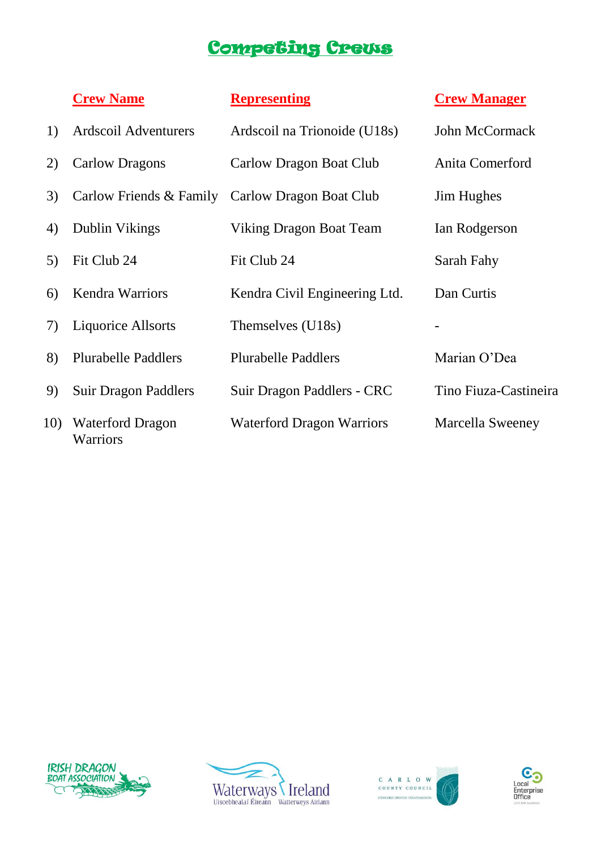## Competing Crews

|     | <b>Crew Name</b>                           | <b>Representing</b>                             | <b>Crew Manager</b>     |
|-----|--------------------------------------------|-------------------------------------------------|-------------------------|
| 1)  | Ardscoil Adventurers                       | Ardscoil na Trionoide (U18s)                    | John McCormack          |
| 2)  | <b>Carlow Dragons</b>                      | Carlow Dragon Boat Club                         | Anita Comerford         |
| 3)  |                                            | Carlow Friends & Family Carlow Dragon Boat Club | <b>Jim Hughes</b>       |
| 4)  | Dublin Vikings                             | Viking Dragon Boat Team                         | Ian Rodgerson           |
| 5)  | Fit Club 24                                | Fit Club 24                                     | Sarah Fahy              |
| 6)  | <b>Kendra Warriors</b>                     | Kendra Civil Engineering Ltd.                   | Dan Curtis              |
| 7)  | <b>Liquorice Allsorts</b>                  | Themselves (U18s)                               |                         |
| 8)  | <b>Plurabelle Paddlers</b>                 | <b>Plurabelle Paddlers</b>                      | Marian O'Dea            |
| 9   | <b>Suir Dragon Paddlers</b>                | Suir Dragon Paddlers - CRC                      | Tino Fiuza-Castineira   |
| 10) | <b>Waterford Dragon</b><br><b>Warriors</b> | <b>Waterford Dragon Warriors</b>                | <b>Marcella Sweeney</b> |







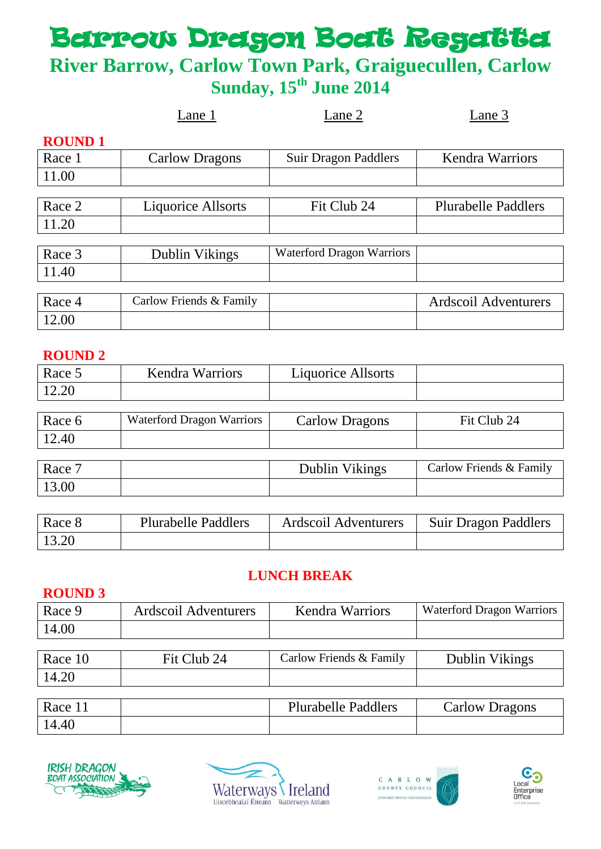# Beterow Dregon Boat Regatte

## **River Barrow, Carlow Town Park, Graiguecullen, Carlow Sunday, 15th June 2014**

|               | Lane 1                    | Lane 2                           | Lane 3                     |
|---------------|---------------------------|----------------------------------|----------------------------|
| <b>ROUND1</b> |                           |                                  |                            |
| Race 1        | <b>Carlow Dragons</b>     | <b>Suir Dragon Paddlers</b>      | <b>Kendra Warriors</b>     |
| 11.00         |                           |                                  |                            |
|               |                           |                                  |                            |
| Race 2        | <b>Liquorice Allsorts</b> | Fit Club 24                      | <b>Plurabelle Paddlers</b> |
| 11.20         |                           |                                  |                            |
|               |                           |                                  |                            |
| Race 3        | Dublin Vikings            | <b>Waterford Dragon Warriors</b> |                            |
| 11.40         |                           |                                  |                            |
|               |                           |                                  |                            |
| Race 4        | Carlow Friends & Family   |                                  | Ardscoil Adventurers       |
| 12.00         |                           |                                  |                            |

#### **ROUND 2**

| Race 5 | <b>Kendra Warriors</b>           | <b>Liquorice Allsorts</b> |                         |
|--------|----------------------------------|---------------------------|-------------------------|
| 12.20  |                                  |                           |                         |
|        |                                  |                           |                         |
| Race 6 | <b>Waterford Dragon Warriors</b> | <b>Carlow Dragons</b>     | Fit Club 24             |
| 12.40  |                                  |                           |                         |
|        |                                  |                           |                         |
| Race 7 |                                  | Dublin Vikings            | Carlow Friends & Family |
| 13.00  |                                  |                           |                         |

| Race 8 | <b>Plurabelle Paddlers</b> | Ardscoil Adventurers | <b>Suir Dragon Paddlers</b> |
|--------|----------------------------|----------------------|-----------------------------|
| 13.20  |                            |                      |                             |

#### **LUNCH BREAK**

#### **ROUND 3**

| Race 9 | Ardscoil Adventurers | <b>Kendra Warriors</b> | <b>Waterford Dragon Warriors</b> |
|--------|----------------------|------------------------|----------------------------------|
| 14.00  |                      |                        |                                  |

| Race 10 | Fit Club 24 | Carlow Friends & Family | Dublin Vikings |
|---------|-------------|-------------------------|----------------|
| 14.20   |             |                         |                |

| Race 11 | <b>Plurabelle Paddlers</b> | <b>Carlow Dragons</b> |
|---------|----------------------------|-----------------------|
| 14.40   |                            |                       |